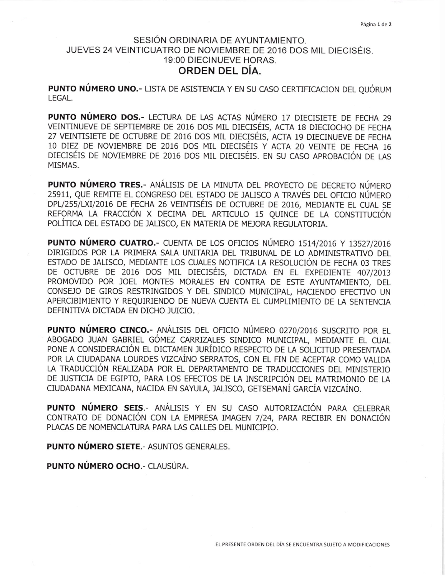## SESIÓN ORDINARIA DE AYUNTAMIENTO. JUEVES 24 VEINTICUATRO DE NOVIEMBRE DE 2016 DOS MIL DIFCISÉIS. 19:00 DIECINUEVE HORAS. ORDEN DEL DÍA.

PUNTO NÚMERO UNO.- LISTA DE ASISTENCIA Y EN SU CASO CERTIFICACION DEL QUÓRUM LEGAL.

PUNTO NÚMERO DOS.- LECTURA DE LAS ACTAS NÚMERO 17 DIECISIETE DE FECHA 29 VEINTINUEVE DE SEPTIEMBRE DE 2016 DOS MIL DIECISÉIS, ACTA 18 DIECIOCHO DE FECHA 27 VEINTISIETE DE OCTUBRE DE 2016 DOS MIL DIECISÉIS, ACTA 19 DIECINUEVE DE FECHA 10 DIEZ DE NOVIEMBRE DE 2016 DOS MIL DIECISÉIS Y ACTA 20 VEINTE DE FECHA 16 DIECISÉIS DE NOVIEMBRE DE 2016 DOS MIL DIECISÉIS. EN SU CASO APROBACIÓN DE LAS MISMAS.

PUNTO NÚMERO TRES .- ANÁLISIS DE LA MINUTA DEL PROYECTO DE DECRETO NÚMERO 25911, QUE REMITE EL CONGRESO DEL ESTADO DE JALISCO A TRAVÉS DEL OFICIO NÚMERO DPL/255/LXI/2016 DE FECHA 26 VEINTISÉIS DE OCTUBRE DE 2016, MEDIANTE EL CUAL SE REFORMA LA FRACCIÓN X DECIMA DEL ARTICULO 15 QUINCE DE LA CONSTITUCIÓN POLÍTICA DEL ESTADO DE JALISCO, EN MATERIA DE MEJORA REGULATORIA.

**PUNTO NÚMERO CUATRO.-** CUENTA DE LOS OFICIOS NÚMERO 1514/2016 Y 13527/2016 DIRIGIDOS POR LA PRIMERA SALA UNITARIA DEL TRIBUNAL DE LO ADMINISTRATIVO DEL ESTADO DE JALISCO, MEDIANTE LOS CUALES NOTIFICA LA RESOLUCIÓN DE FECHA 03 TRES DE OCTUBRE DE 2016 DOS MIL DIECISÉIS, DICTADA EN EL EXPEDIENTE 407/2013 PROMOVIDO POR JOEL MONTES MORALES EN CONTRA DE ESTE AYUNTAMIENTO, DEL CONSEJO DE GIROS RESTRINGIDOS Y DEL SINDICO MUNICIPAL, HACIENDO EFECTIVO UN APERCIBIMIENTO Y REQUIRIENDO DE NUEVA CUENTA EL CUMPLIMIENTO DE LA SENTENCIA DEFINITIVA DICTADA EN DICHO JUICIO.

**PUNTO NÚMERO CINCO.-** ANÁLISIS DEL OFICIO NÚMERO 0270/2016 SUSCRITO POR EL ABOGADO JUAN GABRIEL GÓMEZ CARRIZALES SINDICO MUNICIPAL, MEDIANTE EL CUAL PONE A CONSIDERACIÓN EL DICTAMEN JURÍDICO RESPECTO DE LA SOLICITUD PRESENTADA POR LA CIUDADANA LOURDES VIZCAÍNO SERRATOS, CON EL FIN DE ACEPTAR COMO VALIDA LA TRADUCCIÓN REALIZADA POR EL DEPARTAMENTO DE TRADUCCIONES DEL MINISTERIO DE JUSTICIA DE EGIPTO, PARA LOS EFECTOS DE LA INSCRIPCIÓN DEL MATRIMONIO DE LA CIUDADANA MEXICANA, NACIDA EN SAYULA, JALISCO, GETSEMANÍ GARCÍA VIZCAÍNO.

PUNTO NÚMERO SEIS.- ANÁLISIS Y EN SU CASO AUTORIZACIÓN PARA CELEBRAR CONTRATO DE DONACIÓN CON LA EMPRESA IMAGEN 7/24, PARA RECIBIR EN DONACIÓN PLACAS DE NOMENCLATURA PARA LAS CALLES DEL MUNICIPIO.

**PUNTO NÚMERO SIETE.** ASUNTOS GENERALES.

**PUNTO NÚMERO OCHO.** - CLAUSURA.